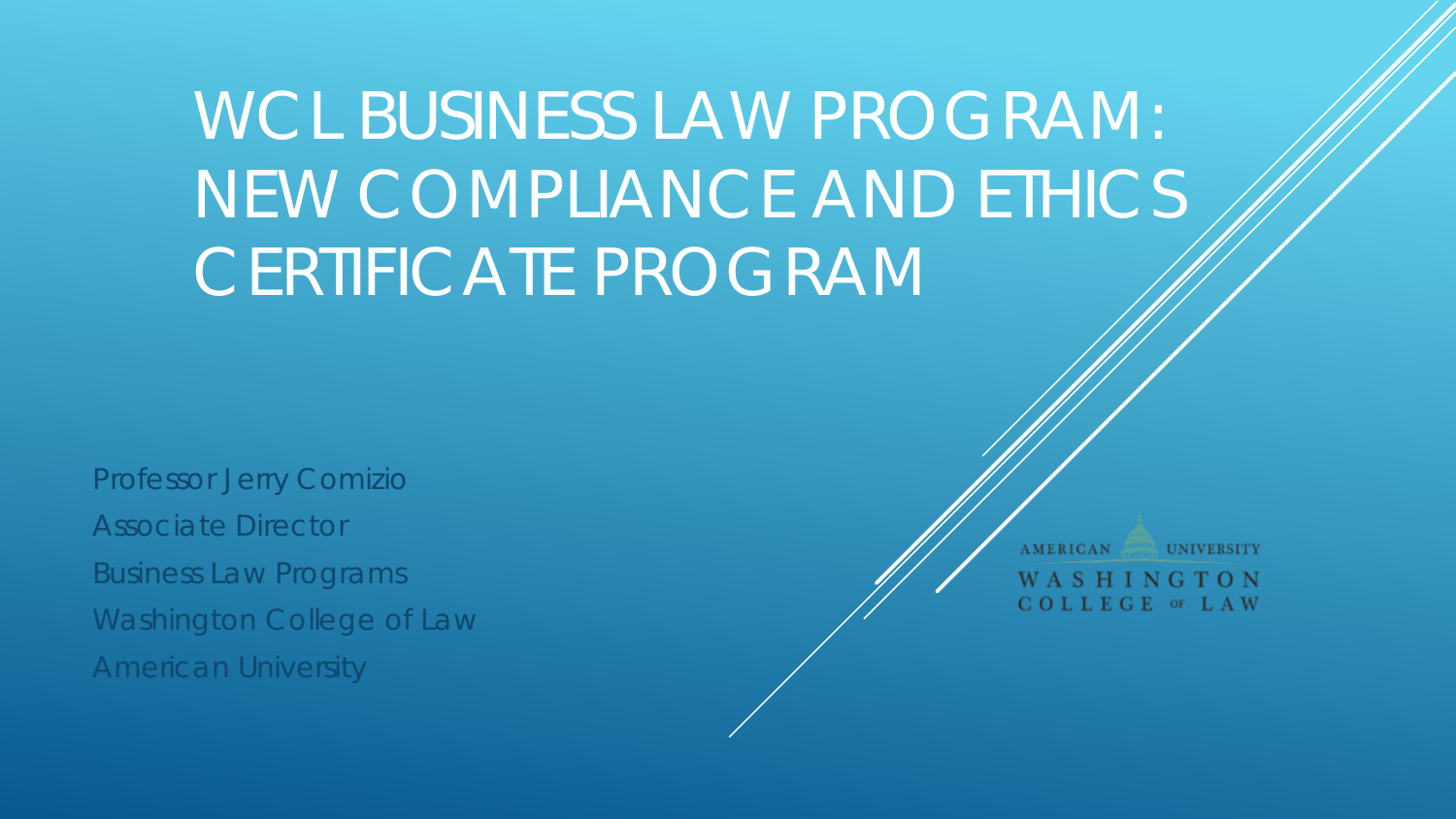# WCL BUSINESS LAW PROGRAM: NEW COMPLIANCE AND ETHICS CERTIFICATE PROGRAM

Professor Jerry Comizio Associate Director Business Law Programs Washington College of Law American University

**AMERICAN UNIVERSITY** WASHINGTON COLLEGE OF LAW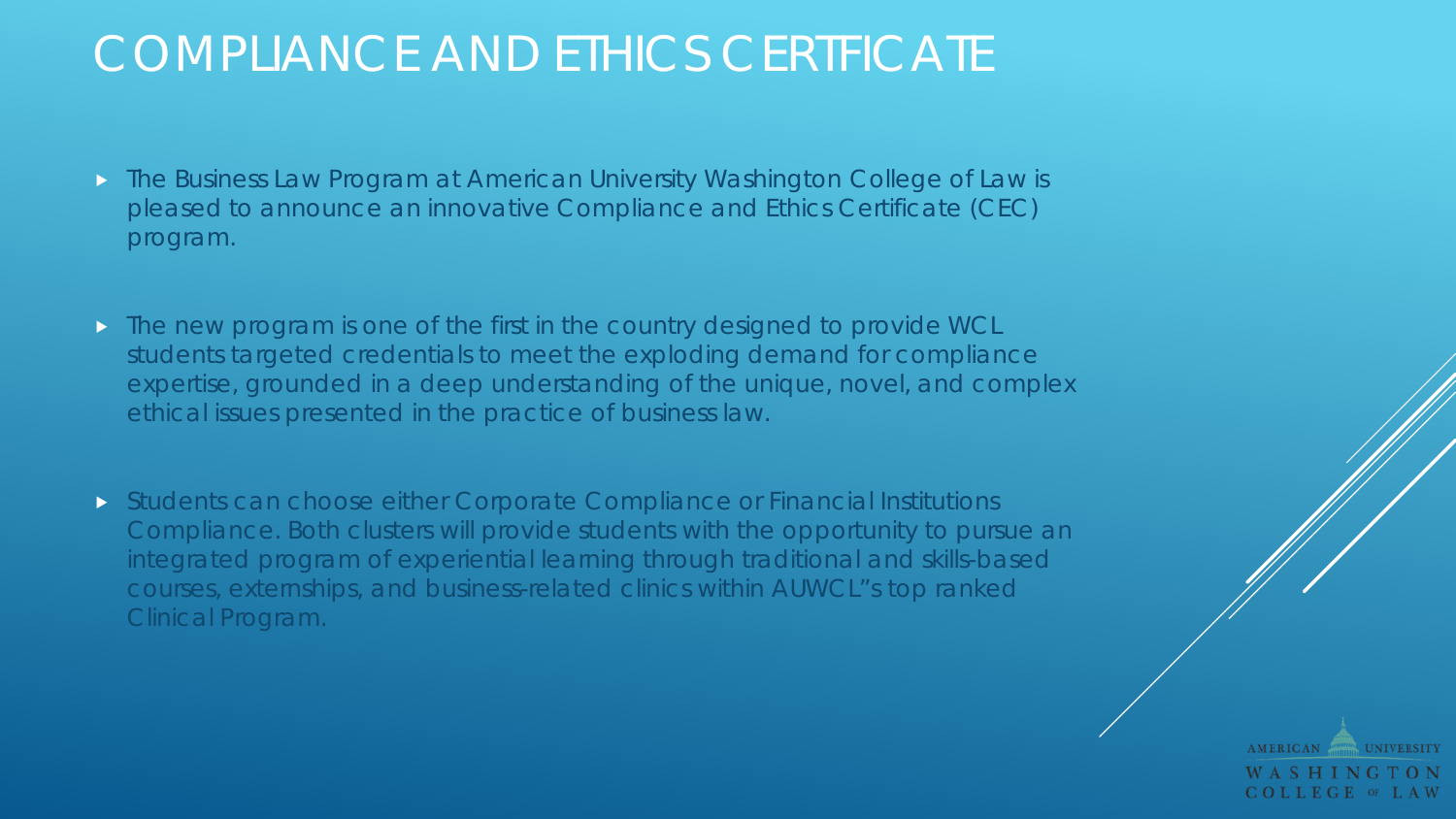## COMPLIANCE AND ETHICS CERTFICATE

- **The Business Law Program at American University Washington College of Law is** pleased to announce an innovative Compliance and Ethics Certificate (CEC) program.
- **The new program is one of the first in the country designed to provide WCL** students targeted credentials to meet the exploding demand for compliance expertise, grounded in a deep understanding of the unique, novel, and complex ethical issues presented in the practice of business law.
- Students can choose either Corporate Compliance or Financial Institutions Compliance. Both clusters will provide students with the opportunity to pursue an integrated program of experiential learning through traditional and skills-based courses, externships, and business-related clinics within AUWCL"s top ranked Clinical Program.

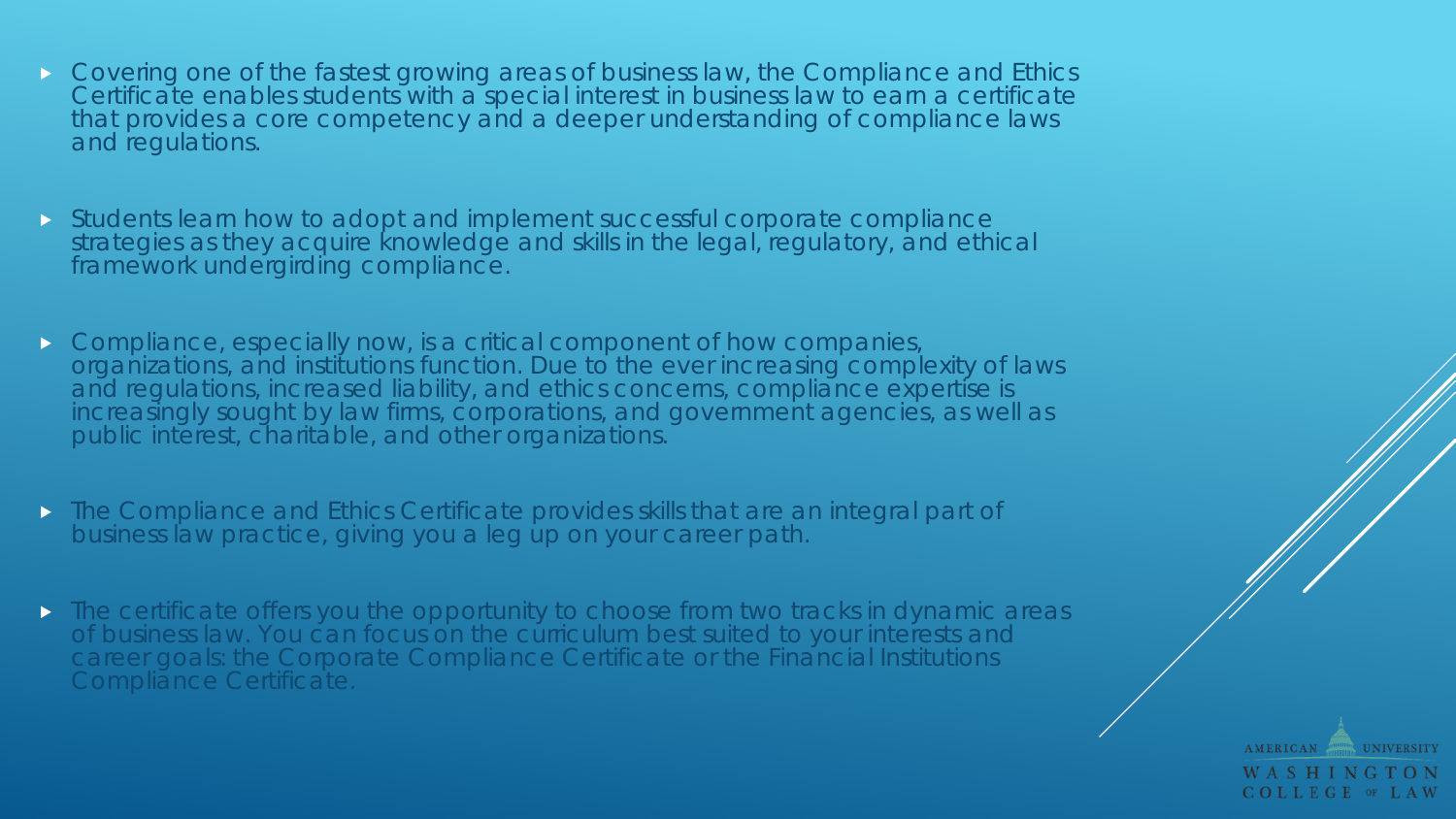- Covering one of the fastest growing areas of business law, the Compliance and Ethics Certificate enables students with a special interest in business law to earn a certificate that provides a core competency and a deeper understanding of compliance laws and regulations.
- Students learn how to adopt and implement successful corporate compliance strategies as they acquire knowledge and skills in the legal, regulatory, and ethical framework undergirding compliance.
- **Compliance, especially now, is a critical component of how companies,** organizations, and institutions function. Due to the ever increasing complexity of laws and regulations, increased liability, and ethics concerns, compliance expertise is increasingly sought by law firms, corporations, and government agencies, as well as public interest, charitable, and other organizations.
- The Compliance and Ethics Certificate provides skills that are an integral part of business law practice, giving you a leg up on your career path.
- **The certificate offers you the opportunity to choose from two tracks in dynamic areas** of business law. You can focus on the curriculum best suited to your interests and career goals: the Corporate Compliance Certificate or the Financial Institutions Compliance Certificate.

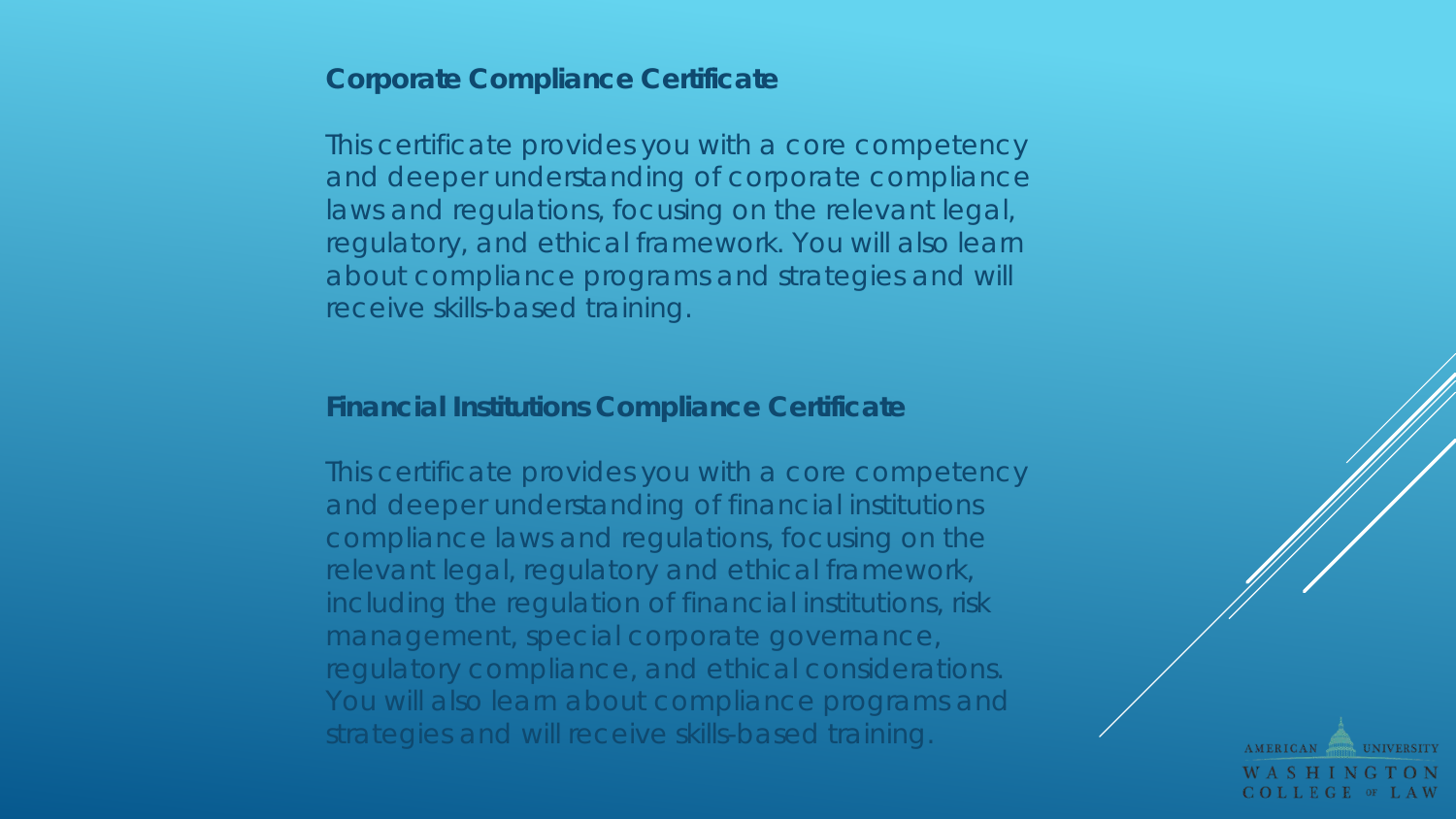## **Corporate Compliance Certificate**

This certificate provides you with a core competency and deeper understanding of corporate compliance laws and regulations, focusing on the relevant legal, regulatory, and ethical framework. You will also learn about compliance programs and strategies and will receive skills-based training.

## **Financial Institutions Compliance Certificate**

This certificate provides you with a core competency and deeper understanding of financial institutions compliance laws and regulations, focusing on the relevant legal, regulatory and ethical framework, including the regulation of financial institutions, risk management, special corporate governance, regulatory compliance, and ethical considerations. You will also learn about compliance programs and strategies and will receive skills-based training.

**AMERICAN** COLLEGE OF LAW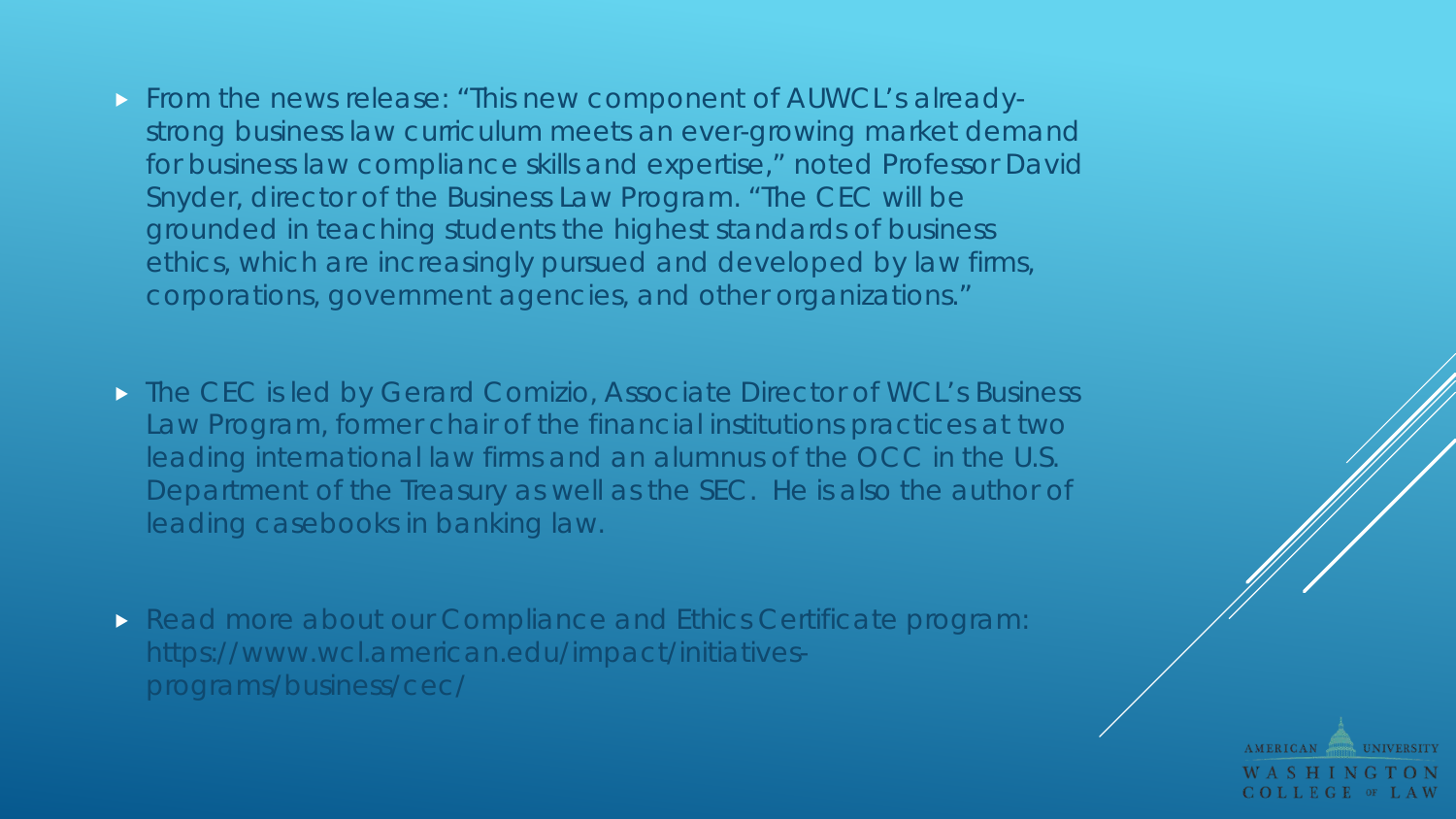- From the news release: "This new component of AUWCL's alreadystrong business law curriculum meets an ever-growing market demand for business law compliance skills and expertise," noted Professor David Snyder, director of the Business Law Program. "The CEC will be grounded in teaching students the highest standards of business ethics, which are increasingly pursued and developed by law firms, corporations, government agencies, and other organizations."
- **The CEC is led by Gerard Comizio, Associate Director of WCL's Business** Law Program, former chair of the financial institutions practices at two leading international law firms and an alumnus of the OCC in the U.S. Department of the Treasury as well as the SEC. He is also the author of leading casebooks in banking law.
- **Read more about our Compliance and Ethics Certificate program:** https://www.wcl.american.edu/impact/initiativesprograms/business/cec/

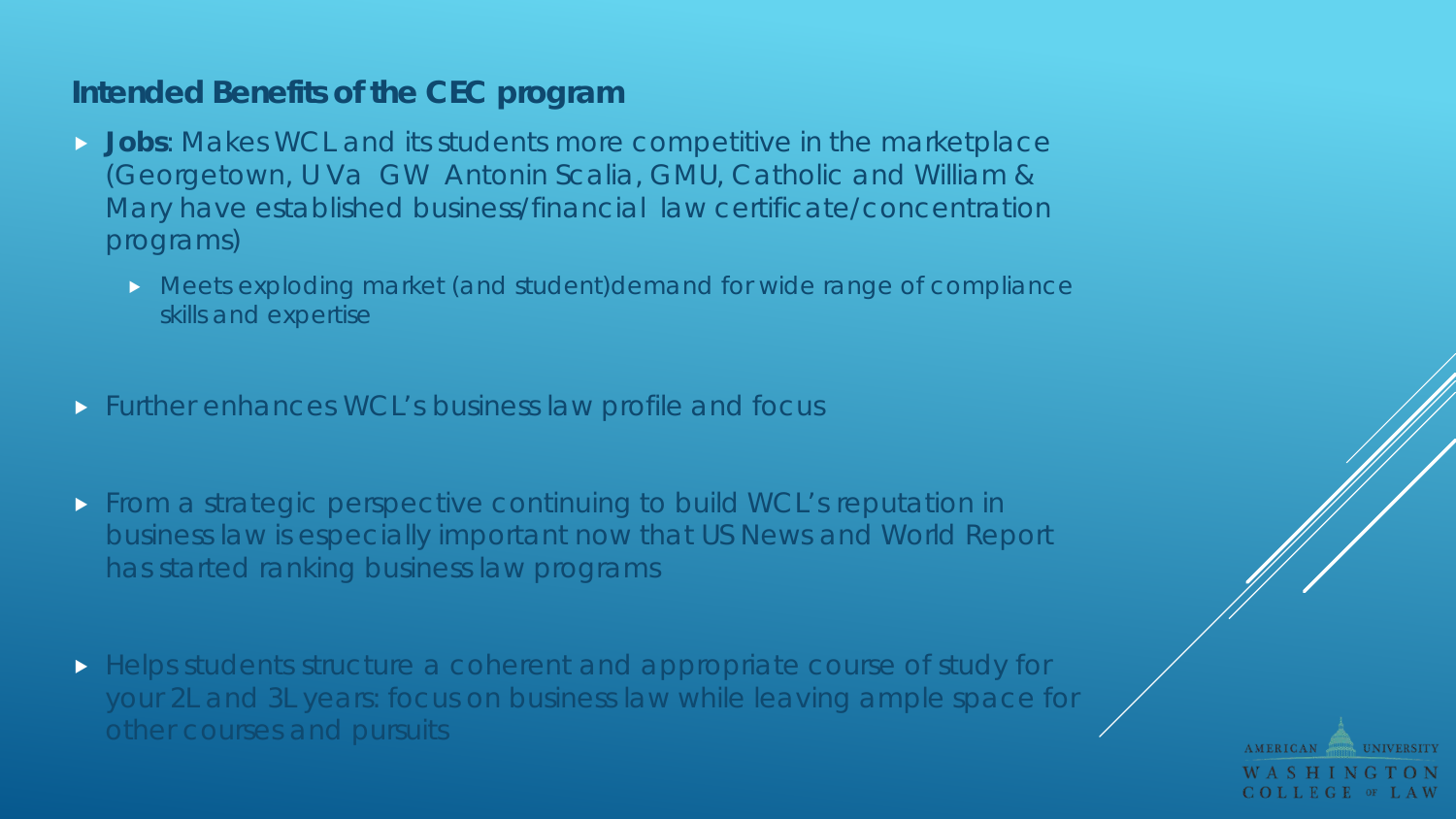## **Intended Benefits of the CEC program**

- **Jobs**: Makes WCL and its students more competitive in the marketplace (Georgetown, U Va GW Antonin Scalia, GMU, Catholic and William & Mary have established business/financial law certificate/concentration programs)
	- Meets exploding market (and student)demand for wide range of compliance skills and expertise
- Further enhances WCL's business law profile and focus
- From a strategic perspective continuing to build WCL's reputation in business law is especially important now that US News and World Report has started ranking business law programs
- Helps students structure a coherent and appropriate course of study for your 2L and 3L years: focus on business law while leaving ample space for other courses and pursuits

**AMERICAN** COLLEGE OF LAW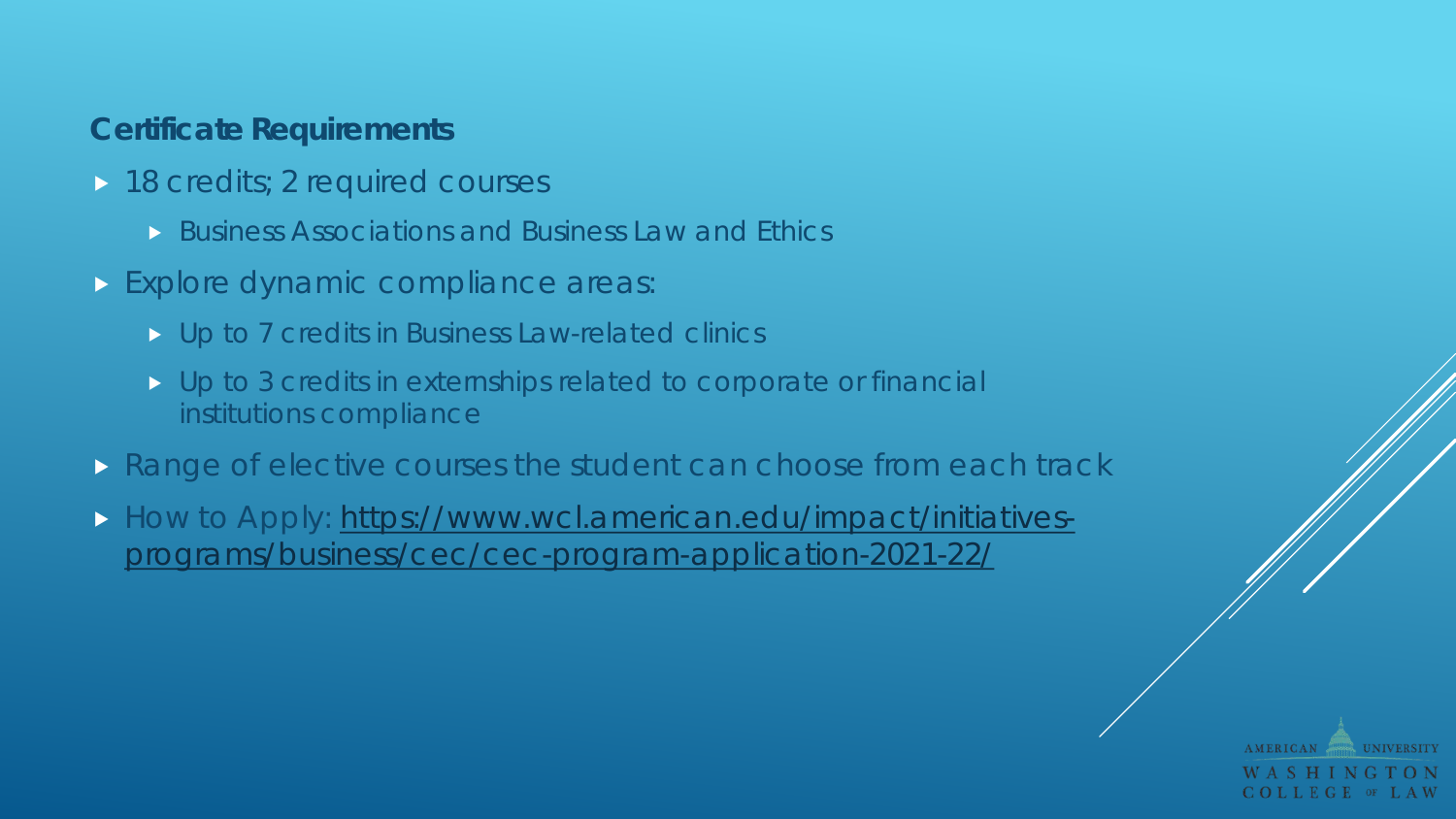## **Certificate Requirements**

- 18 credits; 2 required courses
	- Business Associations and Business Law and Ethics
- **Explore dynamic compliance areas:** 
	- D Up to 7 credits in Business Law-related clinics
	- Up to 3 credits in externships related to corporate or financial institutions compliance
- **Range of elective courses the student can choose from each track**
- [How to Apply: https://www.wcl.american.edu/impact/initiatives](https://www.wcl.american.edu/impact/initiatives-programs/business/cec/cec-program-application-2021-22/)programs/business/cec/cec-program-application-2021-22/